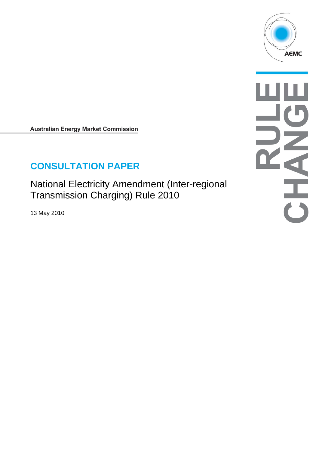

**Australian Energy Market Commission** 

# **CONSULTATION PAPER**

National Electricity Amendment (Inter-regional Transmission Charging) Rule 2010

13 May 2010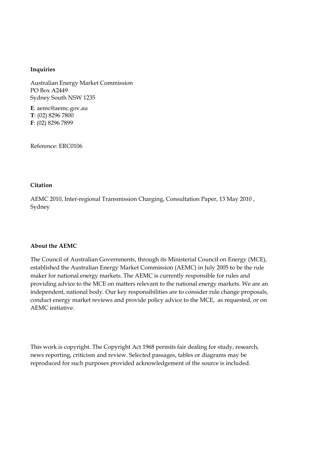#### **Inquiries**

Australian Energy Market Commission PO Box A2449 Sydney South NSW 1235

**E**: aemc@aemc.gov.au **T**: (02) 8296 7800 **F**: (02) 8296 7899

Reference: ERC0106

#### **Citation**

AEMC 2010, Inter-regional Transmission Charging, Consultation Paper, 13 May 2010 , Sydney

#### **About the AEMC**

The Council of Australian Governments, through its Ministerial Council on Energy (MCE), established the Australian Energy Market Commission (AEMC) in July 2005 to be the rule maker for national energy markets. The AEMC is currently responsible for rules and providing advice to the MCE on matters relevant to the national energy markets. We are an independent, national body. Our key responsibilities are to consider rule change proposals, conduct energy market reviews and provide policy advice to the MCE, as requested, or on AEMC initiative.

This work is copyright. The Copyright Act 1968 permits fair dealing for study, research, news reporting, criticism and review. Selected passages, tables or diagrams may be reproduced for such purposes provided acknowledgement of the source is included.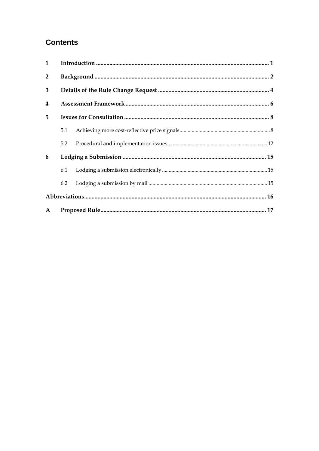## **Contents**

| $\mathbf{1}$            |     |  |  |  |  |
|-------------------------|-----|--|--|--|--|
| $\overline{2}$          |     |  |  |  |  |
| 3                       |     |  |  |  |  |
| $\overline{\mathbf{4}}$ |     |  |  |  |  |
| 5                       |     |  |  |  |  |
|                         | 5.1 |  |  |  |  |
|                         | 5.2 |  |  |  |  |
| 6                       |     |  |  |  |  |
|                         | 6.1 |  |  |  |  |
|                         | 6.2 |  |  |  |  |
|                         |     |  |  |  |  |
| $\mathbf{A}$            |     |  |  |  |  |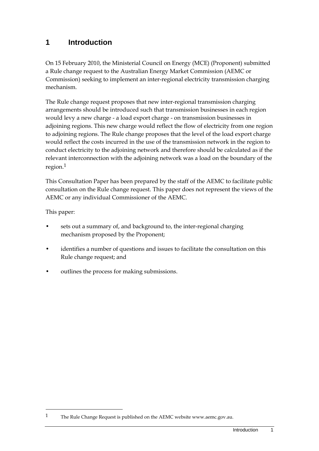## **1 Introduction**

On 15 February 2010, the Ministerial Council on Energy (MCE) (Proponent) submitted a Rule change request to the Australian Energy Market Commission (AEMC or Commission) seeking to implement an inter-regional electricity transmission charging mechanism.

The Rule change request proposes that new inter-regional transmission charging arrangements should be introduced such that transmission businesses in each region would levy a new charge - a load export charge - on transmission businesses in adjoining regions. This new charge would reflect the flow of electricity from one region to adjoining regions. The Rule change proposes that the level of the load export charge would reflect the costs incurred in the use of the transmission network in the region to conduct electricity to the adjoining network and therefore should be calculated as if the relevant interconnection with the adjoining network was a load on the boundary of the region.1

This Consultation Paper has been prepared by the staff of the AEMC to facilitate public consultation on the Rule change request. This paper does not represent the views of the AEMC or any individual Commissioner of the AEMC.

This paper:

- sets out a summary of, and background to, the inter-regional charging mechanism proposed by the Proponent;
- identifies a number of questions and issues to facilitate the consultation on this Rule change request; and
- outlines the process for making submissions.

<sup>1</sup> The Rule Change Request is published on the AEMC website www.aemc.gov.au.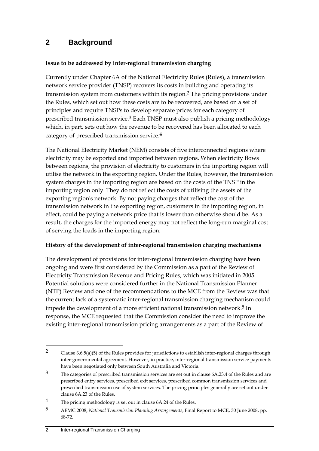### **2 Background**

#### **Issue to be addressed by inter-regional transmission charging**

Currently under Chapter 6A of the National Electricity Rules (Rules), a transmission network service provider (TNSP) recovers its costs in building and operating its transmission system from customers within its region.2 The pricing provisions under the Rules, which set out how these costs are to be recovered, are based on a set of principles and require TNSPs to develop separate prices for each category of prescribed transmission service.3 Each TNSP must also publish a pricing methodology which, in part, sets out how the revenue to be recovered has been allocated to each category of prescribed transmission service.4

The National Electricity Market (NEM) consists of five interconnected regions where electricity may be exported and imported between regions. When electricity flows between regions, the provision of electricity to customers in the importing region will utilise the network in the exporting region. Under the Rules, however, the transmission system charges in the importing region are based on the costs of the TNSP in the importing region only. They do not reflect the costs of utilising the assets of the exporting region's network. By not paying charges that reflect the cost of the transmission network in the exporting region, customers in the importing region, in effect, could be paying a network price that is lower than otherwise should be. As a result, the charges for the imported energy may not reflect the long-run marginal cost of serving the loads in the importing region.

#### **History of the development of inter-regional transmission charging mechanisms**

The development of provisions for inter-regional transmission charging have been ongoing and were first considered by the Commission as a part of the Review of Electricity Transmission Revenue and Pricing Rules, which was initiated in 2005. Potential solutions were considered further in the National Transmission Planner (NTP) Review and one of the recommendations to the MCE from the Review was that the current lack of a systematic inter-regional transmission charging mechanism could impede the development of a more efficient national transmission network.<sup>5</sup> In response, the MCE requested that the Commission consider the need to improve the existing inter-regional transmission pricing arrangements as a part of the Review of

<sup>2</sup> Clause 3.6.5(a)(5) of the Rules provides for jurisdictions to establish inter-regional charges through inter-governmental agreement. However, in practice, inter-regional transmission service payments have been negotiated only between South Australia and Victoria.

<sup>3</sup> The categories of prescribed transmission services are set out in clause 6A.23.4 of the Rules and are prescribed entry services, prescribed exit services, prescribed common transmission services and prescribed transmission use of system services. The pricing principles generally are set out under clause 6A.23 of the Rules.

<sup>4</sup> The pricing methodology is set out in clause 6A.24 of the Rules.

<sup>5</sup> AEMC 2008, *National Transmission Planning Arrangements*, Final Report to MCE, 30 June 2008, pp. 68-72.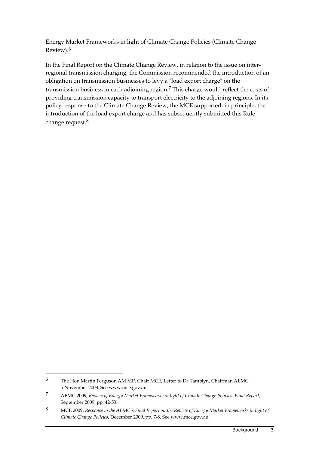Energy Market Frameworks in light of Climate Change Policies (Climate Change Review).6

In the Final Report on the Climate Change Review, in relation to the issue on interregional transmission charging, the Commission recommended the introduction of an obligation on transmission businesses to levy a "load export charge" on the transmission business in each adjoining region.7 This charge would reflect the costs of providing transmission capacity to transport electricity to the adjoining regions. In its policy response to the Climate Change Review, the MCE supported, in principle, the introduction of the load export charge and has subsequently submitted this Rule change request.8

<sup>6</sup> The Hon Martin Ferguson AM MP, Chair MCE, Letter to Dr Tamblyn, Chairman AEMC, 5 November 2008. See www.mce.gov.au.

<sup>7</sup> AEMC 2009, *Review of Energy Market Frameworks in light of Climate Change Policies: Final Report*, September 2009, pp. 42-53.

<sup>8</sup> MCE 2009, *Response to the AEMC's Final Report on the Review of Energy Market Frameworks in light of Climate Change Policies*, December 2009, pp. 7-8. See www.mce.gov.au.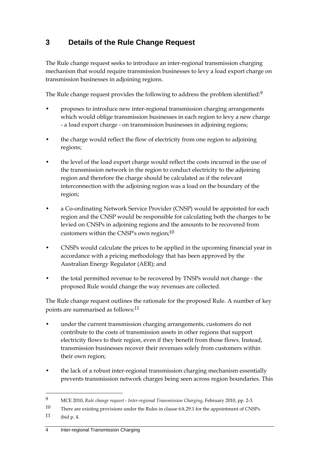## **3 Details of the Rule Change Request**

The Rule change request seeks to introduce an inter-regional transmission charging mechanism that would require transmission businesses to levy a load export charge on transmission businesses in adjoining regions.

The Rule change request provides the following to address the problem identified:<sup>9</sup>

- proposes to introduce new inter-regional transmission charging arrangements which would oblige transmission businesses in each region to levy a new charge - a load export charge - on transmission businesses in adjoining regions;
- the charge would reflect the flow of electricity from one region to adjoining regions;
- the level of the load export charge would reflect the costs incurred in the use of the transmission network in the region to conduct electricity to the adjoining region and therefore the charge should be calculated as if the relevant interconnection with the adjoining region was a load on the boundary of the region;
- a Co-ordinating Network Service Provider (CNSP) would be appointed for each region and the CNSP would be responsible for calculating both the charges to be levied on CNSPs in adjoining regions and the amounts to be recovered from customers within the CNSP's own region;10
- CNSPs would calculate the prices to be applied in the upcoming financial year in accordance with a pricing methodology that has been approved by the Australian Energy Regulator (AER); and
- the total permitted revenue to be recovered by TNSPs would not change the proposed Rule would change the way revenues are collected.

The Rule change request outlines the rationale for the proposed Rule. A number of key points are summarised as follows:11

- under the current transmission charging arrangements, customers do not contribute to the costs of transmission assets in other regions that support electricity flows to their region, even if they benefit from those flows. Instead, transmission businesses recover their revenues solely from customers within their own region;
- the lack of a robust inter-regional transmission charging mechanism essentially prevents transmission network charges being seen across region boundaries. This

<u>.</u>

<sup>9</sup> MCE 2010, *Rule change request - Inter-regional Transmission Charging*, February 2010, pp. 2-3.

<sup>10</sup> There are existing provisions under the Rules in clause 6A.29.1 for the appointment of CNSPs.

<sup>11</sup> ibid p. 4.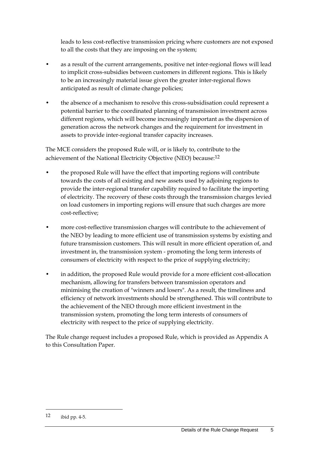leads to less cost-reflective transmission pricing where customers are not exposed to all the costs that they are imposing on the system;

- as a result of the current arrangements, positive net inter-regional flows will lead to implicit cross-subsidies between customers in different regions. This is likely to be an increasingly material issue given the greater inter-regional flows anticipated as result of climate change policies;
- the absence of a mechanism to resolve this cross-subsidisation could represent a potential barrier to the coordinated planning of transmission investment across different regions, which will become increasingly important as the dispersion of generation across the network changes and the requirement for investment in assets to provide inter-regional transfer capacity increases.

The MCE considers the proposed Rule will, or is likely to, contribute to the achievement of the National Electricity Objective (NEO) because:12

- the proposed Rule will have the effect that importing regions will contribute towards the costs of all existing and new assets used by adjoining regions to provide the inter-regional transfer capability required to facilitate the importing of electricity. The recovery of these costs through the transmission charges levied on load customers in importing regions will ensure that such charges are more cost-reflective;
- more cost-reflective transmission charges will contribute to the achievement of the NEO by leading to more efficient use of transmission systems by existing and future transmission customers. This will result in more efficient operation of, and investment in, the transmission system - promoting the long term interests of consumers of electricity with respect to the price of supplying electricity;
- in addition, the proposed Rule would provide for a more efficient cost-allocation mechanism, allowing for transfers between transmission operators and minimising the creation of "winners and losers". As a result, the timeliness and efficiency of network investments should be strengthened. This will contribute to the achievement of the NEO through more efficient investment in the transmission system, promoting the long term interests of consumers of electricity with respect to the price of supplying electricity.

The Rule change request includes a proposed Rule, which is provided as Appendix A to this Consultation Paper.

<sup>12</sup> ibid pp. 4-5.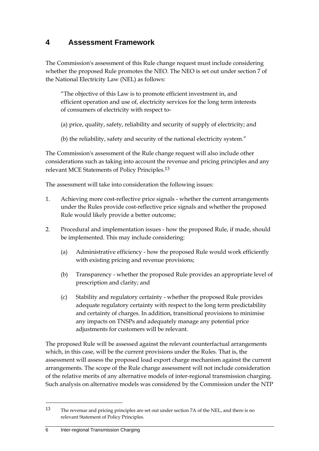## **4 Assessment Framework**

The Commission's assessment of this Rule change request must include considering whether the proposed Rule promotes the NEO. The NEO is set out under section 7 of the National Electricity Law (NEL) as follows:

"The objective of this Law is to promote efficient investment in, and efficient operation and use of, electricity services for the long term interests of consumers of electricity with respect to-

- (a) price, quality, safety, reliability and security of supply of electricity; and
- (b) the reliability, safety and security of the national electricity system."

The Commission's assessment of the Rule change request will also include other considerations such as taking into account the revenue and pricing principles and any relevant MCE Statements of Policy Principles.13

The assessment will take into consideration the following issues:

- 1. Achieving more cost-reflective price signals whether the current arrangements under the Rules provide cost-reflective price signals and whether the proposed Rule would likely provide a better outcome;
- 2. Procedural and implementation issues how the proposed Rule, if made, should be implemented. This may include considering:
	- (a) Administrative efficiency how the proposed Rule would work efficiently with existing pricing and revenue provisions;
	- (b) Transparency whether the proposed Rule provides an appropriate level of prescription and clarity; and
	- (c) Stability and regulatory certainty whether the proposed Rule provides adequate regulatory certainty with respect to the long term predictability and certainty of charges. In addition, transitional provisions to minimise any impacts on TNSPs and adequately manage any potential price adjustments for customers will be relevant.

The proposed Rule will be assessed against the relevant counterfactual arrangements which, in this case, will be the current provisions under the Rules. That is, the assessment will assess the proposed load export charge mechanism against the current arrangements. The scope of the Rule change assessment will not include consideration of the relative merits of any alternative models of inter-regional transmission charging. Such analysis on alternative models was considered by the Commission under the NTP

<sup>13</sup> The revenue and pricing principles are set out under section 7A of the NEL, and there is no relevant Statement of Policy Principles.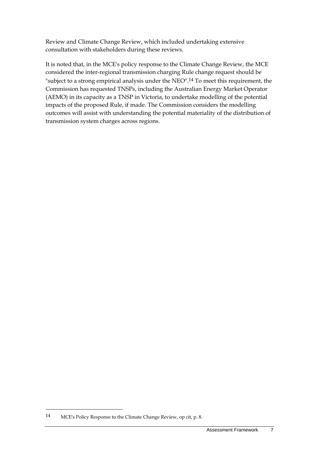Review and Climate Change Review, which included undertaking extensive consultation with stakeholders during these reviews.

It is noted that, in the MCE's policy response to the Climate Change Review, the MCE considered the inter-regional transmission charging Rule change request should be "subject to a strong empirical analysis under the NEO".14 To meet this requirement, the Commission has requested TNSPs, including the Australian Energy Market Operator (AEMO) in its capacity as a TNSP in Victoria, to undertake modelling of the potential impacts of the proposed Rule, if made. The Commission considers the modelling outcomes will assist with understanding the potential materiality of the distribution of transmission system charges across regions.

<sup>14</sup> MCE's Policy Response to the Climate Change Review, op cit, p. 8.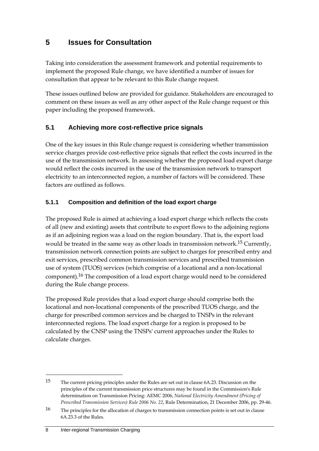## **5 Issues for Consultation**

Taking into consideration the assessment framework and potential requirements to implement the proposed Rule change, we have identified a number of issues for consultation that appear to be relevant to this Rule change request.

These issues outlined below are provided for guidance. Stakeholders are encouraged to comment on these issues as well as any other aspect of the Rule change request or this paper including the proposed framework.

### **5.1 Achieving more cost-reflective price signals**

One of the key issues in this Rule change request is considering whether transmission service charges provide cost-reflective price signals that reflect the costs incurred in the use of the transmission network. In assessing whether the proposed load export charge would reflect the costs incurred in the use of the transmission network to transport electricity to an interconnected region, a number of factors will be considered. These factors are outlined as follows.

#### **5.1.1 Composition and definition of the load export charge**

The proposed Rule is aimed at achieving a load export charge which reflects the costs of all (new and existing) assets that contribute to export flows to the adjoining regions as if an adjoining region was a load on the region boundary. That is, the export load would be treated in the same way as other loads in transmission network.15 Currently, transmission network connection points are subject to charges for prescribed entry and exit services, prescribed common transmission services and prescribed transmission use of system (TUOS) services (which comprise of a locational and a non-locational component).16 The composition of a load export charge would need to be considered during the Rule change process.

The proposed Rule provides that a load export charge should comprise both the locational and non-locational components of the prescribed TUOS charge, and the charge for prescribed common services and be charged to TNSPs in the relevant interconnected regions. The load export charge for a region is proposed to be calculated by the CNSP using the TNSPs' current approaches under the Rules to calculate charges.

<sup>15</sup> The current pricing principles under the Rules are set out in clause 6A.23. Discussion on the principles of the current transmission price structures may be found in the Commission's Rule determination on Transmission Pricing: AEMC 2006, *National Electricity Amendment (Pricing of Prescribed Transmission Services) Rule 2006 No. 22*, Rule Determination, 21 December 2006, pp. 29-46.

<sup>16</sup> The principles for the allocation of charges to transmission connection points is set out in clause 6A.23.3 of the Rules.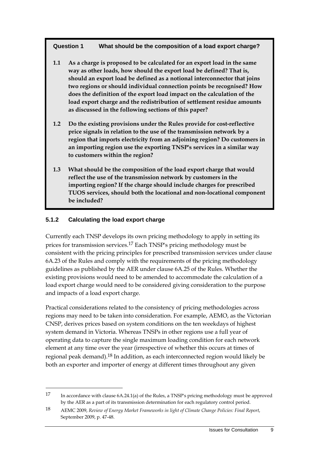#### **Question 1 What should be the composition of a load export charge?**

- **1.1 As a charge is proposed to be calculated for an export load in the same way as other loads, how should the export load be defined? That is, should an export load be defined as a notional interconnector that joins two regions or should individual connection points be recognised? How does the definition of the export load impact on the calculation of the load export charge and the redistribution of settlement residue amounts as discussed in the following sections of this paper?**
- **1.2 Do the existing provisions under the Rules provide for cost-reflective price signals in relation to the use of the transmission network by a region that imports electricity from an adjoining region? Do customers in an importing region use the exporting TNSP's services in a similar way to customers within the region?**
- **1.3 What should be the composition of the load export charge that would reflect the use of the transmission network by customers in the importing region? If the charge should include charges for prescribed TUOS services, should both the locational and non-locational component be included?**

#### **5.1.2 Calculating the load export charge**

1

Currently each TNSP develops its own pricing methodology to apply in setting its prices for transmission services.17 Each TNSP's pricing methodology must be consistent with the pricing principles for prescribed transmission services under clause 6A.23 of the Rules and comply with the requirements of the pricing methodology guidelines as published by the AER under clause 6A.25 of the Rules. Whether the existing provisions would need to be amended to accommodate the calculation of a load export charge would need to be considered giving consideration to the purpose and impacts of a load export charge.

Practical considerations related to the consistency of pricing methodologies across regions may need to be taken into consideration. For example, AEMO, as the Victorian CNSP, derives prices based on system conditions on the ten weekdays of highest system demand in Victoria. Whereas TNSPs in other regions use a full year of operating data to capture the single maximum loading condition for each network element at any time over the year (irrespective of whether this occurs at times of regional peak demand).18 In addition, as each interconnected region would likely be both an exporter and importer of energy at different times throughout any given

<sup>17</sup> In accordance with clause 6A.24.1(a) of the Rules, a TNSP's pricing methodology must be approved by the AER as a part of its transmission determination for each regulatory control period.

<sup>18</sup> AEMC 2009, *Review of Energy Market Frameworks in light of Climate Change Policies: Final Report*, September 2009, p. 47-48.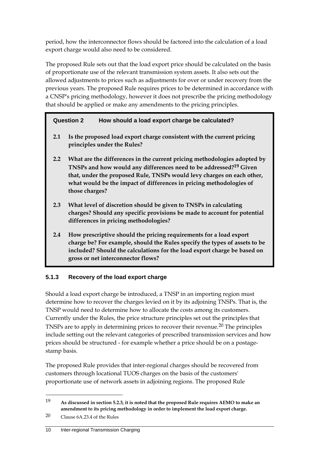period, how the interconnector flows should be factored into the calculation of a load export charge would also need to be considered.

The proposed Rule sets out that the load export price should be calculated on the basis of proportionate use of the relevant transmission system assets. It also sets out the allowed adjustments to prices such as adjustments for over or under recovery from the previous years. The proposed Rule requires prices to be determined in accordance with a CNSP's pricing methodology, however it does not prescribe the pricing methodology that should be applied or make any amendments to the pricing principles.

### **Question 2 How should a load export charge be calculated?**

- **2.1 Is the proposed load export charge consistent with the current pricing principles under the Rules?**
- **2.2 What are the differences in the current pricing methodologies adopted by TNSPs and how would any differences need to be addressed?19 Given that, under the proposed Rule, TNSPs would levy charges on each other, what would be the impact of differences in pricing methodologies of those charges?**
- **2.3 What level of discretion should be given to TNSPs in calculating charges? Should any specific provisions be made to account for potential differences in pricing methodologies?**
- **2.4 How prescriptive should the pricing requirements for a load export charge be? For example, should the Rules specify the types of assets to be included? Should the calculations for the load export charge be based on gross or net interconnector flows?**

### **5.1.3 Recovery of the load export charge**

Should a load export charge be introduced, a TNSP in an importing region must determine how to recover the charges levied on it by its adjoining TNSPs. That is, the TNSP would need to determine how to allocate the costs among its customers. Currently under the Rules, the price structure principles set out the principles that TNSPs are to apply in determining prices to recover their revenue.20 The principles include setting out the relevant categories of prescribed transmission services and how prices should be structured - for example whether a price should be on a postagestamp basis.

The proposed Rule provides that inter-regional charges should be recovered from customers through locational TUOS charges on the basis of the customers' proportionate use of network assets in adjoining regions. The proposed Rule

<sup>19</sup> **As discussed in section 5.2.3, it is noted that the proposed Rule requires AEMO to make an amendment to its pricing methodology in order to implement the load export charge.** 

<sup>20</sup> Clause 6A.23.4 of the Rules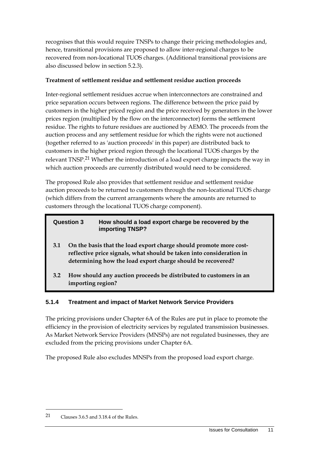recognises that this would require TNSPs to change their pricing methodologies and, hence, transitional provisions are proposed to allow inter-regional charges to be recovered from non-locational TUOS charges. (Additional transitional provisions are also discussed below in section 5.2.3).

#### **Treatment of settlement residue and settlement residue auction proceeds**

Inter-regional settlement residues accrue when interconnectors are constrained and price separation occurs between regions. The difference between the price paid by customers in the higher priced region and the price received by generators in the lower prices region (multiplied by the flow on the interconnector) forms the settlement residue. The rights to future residues are auctioned by AEMO. The proceeds from the auction process and any settlement residue for which the rights were not auctioned (together referred to as 'auction proceeds' in this paper) are distributed back to customers in the higher priced region through the locational TUOS charges by the relevant TNSP.21 Whether the introduction of a load export charge impacts the way in which auction proceeds are currently distributed would need to be considered.

The proposed Rule also provides that settlement residue and settlement residue auction proceeds to be returned to customers through the non-locational TUOS charge (which differs from the current arrangements where the amounts are returned to customers through the locational TUOS charge component).

#### **Question 3 How should a load export charge be recovered by the importing TNSP?**

- **3.1 On the basis that the load export charge should promote more costreflective price signals, what should be taken into consideration in determining how the load export charge should be recovered?**
- **3.2 How should any auction proceeds be distributed to customers in an importing region?**

#### **5.1.4 Treatment and impact of Market Network Service Providers**

The pricing provisions under Chapter 6A of the Rules are put in place to promote the efficiency in the provision of electricity services by regulated transmission businesses. As Market Network Service Providers (MNSPs) are not regulated businesses, they are excluded from the pricing provisions under Chapter 6A.

The proposed Rule also excludes MNSPs from the proposed load export charge.

<sup>21</sup> Clauses 3.6.5 and 3.18.4 of the Rules.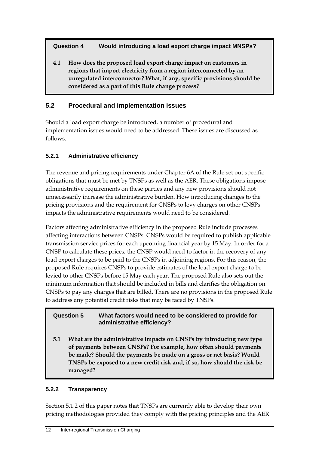**Question 4 Would introducing a load export charge impact MNSPs?** 

**4.1 How does the proposed load export charge impact on customers in regions that import electricity from a region interconnected by an unregulated interconnector? What, if any, specific provisions should be considered as a part of this Rule change process?** 

## **5.2 Procedural and implementation issues**

Should a load export charge be introduced, a number of procedural and implementation issues would need to be addressed. These issues are discussed as follows.

### **5.2.1 Administrative efficiency**

The revenue and pricing requirements under Chapter 6A of the Rule set out specific obligations that must be met by TNSPs as well as the AER. These obligations impose administrative requirements on these parties and any new provisions should not unnecessarily increase the administrative burden. How introducing changes to the pricing provisions and the requirement for CNSPs to levy charges on other CNSPs impacts the administrative requirements would need to be considered.

Factors affecting administrative efficiency in the proposed Rule include processes affecting interactions between CNSPs. CNSPs would be required to publish applicable transmission service prices for each upcoming financial year by 15 May. In order for a CNSP to calculate these prices, the CNSP would need to factor in the recovery of any load export charges to be paid to the CNSPs in adjoining regions. For this reason, the proposed Rule requires CNSPs to provide estimates of the load export charge to be levied to other CNSPs before 15 May each year. The proposed Rule also sets out the minimum information that should be included in bills and clarifies the obligation on CNSPs to pay any charges that are billed. There are no provisions in the proposed Rule to address any potential credit risks that may be faced by TNSPs.

#### **Question 5 What factors would need to be considered to provide for administrative efficiency?**

**5.1 What are the administrative impacts on CNSPs by introducing new type of payments between CNSPs? For example, how often should payments be made? Should the payments be made on a gross or net basis? Would TNSPs be exposed to a new credit risk and, if so, how should the risk be managed?** 

### **5.2.2 Transparency**

Section 5.1.2 of this paper notes that TNSPs are currently able to develop their own pricing methodologies provided they comply with the pricing principles and the AER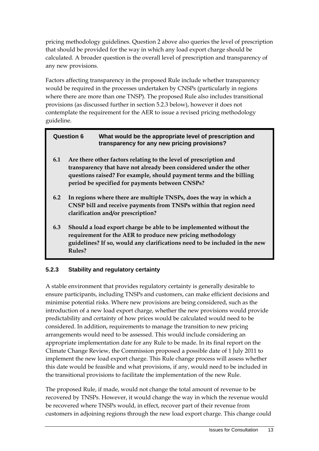pricing methodology guidelines. Question 2 above also queries the level of prescription that should be provided for the way in which any load export charge should be calculated. A broader question is the overall level of prescription and transparency of any new provisions.

Factors affecting transparency in the proposed Rule include whether transparency would be required in the processes undertaken by CNSPs (particularly in regions where there are more than one TNSP). The proposed Rule also includes transitional provisions (as discussed further in section 5.2.3 below), however it does not contemplate the requirement for the AER to issue a revised pricing methodology guideline.

| <b>Question 6</b> |                                                                                                                                                                                                                                                                   | What would be the appropriate level of prescription and<br>transparency for any new pricing provisions?                                                                                                       |  |
|-------------------|-------------------------------------------------------------------------------------------------------------------------------------------------------------------------------------------------------------------------------------------------------------------|---------------------------------------------------------------------------------------------------------------------------------------------------------------------------------------------------------------|--|
| 6.1               | Are there other factors relating to the level of prescription and<br>transparency that have not already been considered under the other<br>questions raised? For example, should payment terms and the billing<br>period be specified for payments between CNSPs? |                                                                                                                                                                                                               |  |
| 6.2               |                                                                                                                                                                                                                                                                   | In regions where there are multiple TNSPs, does the way in which a<br>CNSP bill and receive payments from TNSPs within that region need<br>clarification and/or prescription?                                 |  |
| 6.3               | Rules?                                                                                                                                                                                                                                                            | Should a load export charge be able to be implemented without the<br>requirement for the AER to produce new pricing methodology<br>guidelines? If so, would any clarifications need to be included in the new |  |

#### **5.2.3 Stability and regulatory certainty**

A stable environment that provides regulatory certainty is generally desirable to ensure participants, including TNSPs and customers, can make efficient decisions and minimise potential risks. Where new provisions are being considered, such as the introduction of a new load export charge, whether the new provisions would provide predictability and certainty of how prices would be calculated would need to be considered. In addition, requirements to manage the transition to new pricing arrangements would need to be assessed. This would include considering an appropriate implementation date for any Rule to be made. In its final report on the Climate Change Review, the Commission proposed a possible date of 1 July 2011 to implement the new load export charge. This Rule change process will assess whether this date would be feasible and what provisions, if any, would need to be included in the transitional provisions to facilitate the implementation of the new Rule.

The proposed Rule, if made, would not change the total amount of revenue to be recovered by TNSPs. However, it would change the way in which the revenue would be recovered where TNSPs would, in effect, recover part of their revenue from customers in adjoining regions through the new load export charge. This change could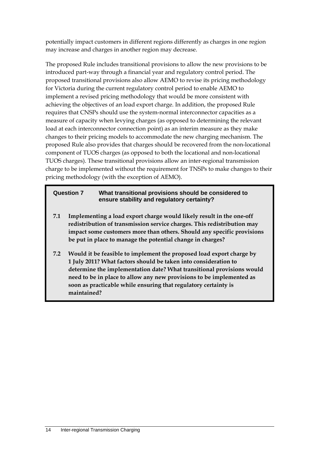potentially impact customers in different regions differently as charges in one region may increase and charges in another region may decrease.

The proposed Rule includes transitional provisions to allow the new provisions to be introduced part-way through a financial year and regulatory control period. The proposed transitional provisions also allow AEMO to revise its pricing methodology for Victoria during the current regulatory control period to enable AEMO to implement a revised pricing methodology that would be more consistent with achieving the objectives of an load export charge. In addition, the proposed Rule requires that CNSPs should use the system-normal interconnector capacities as a measure of capacity when levying charges (as opposed to determining the relevant load at each interconnector connection point) as an interim measure as they make changes to their pricing models to accommodate the new charging mechanism. The proposed Rule also provides that charges should be recovered from the non-locational component of TUOS charges (as opposed to both the locational and non-locational TUOS charges). These transitional provisions allow an inter-regional transmission charge to be implemented without the requirement for TNSPs to make changes to their pricing methodology (with the exception of AEMO).

#### **Question 7 What transitional provisions should be considered to ensure stability and regulatory certainty?**

- **7.1 Implementing a load export charge would likely result in the one-off redistribution of transmission service charges. This redistribution may impact some customers more than others. Should any specific provisions be put in place to manage the potential change in charges?**
- **7.2 Would it be feasible to implement the proposed load export charge by 1 July 2011? What factors should be taken into consideration to determine the implementation date? What transitional provisions would need to be in place to allow any new provisions to be implemented as soon as practicable while ensuring that regulatory certainty is maintained?**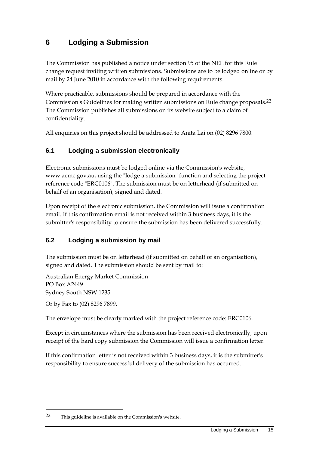## **6 Lodging a Submission**

The Commission has published a notice under section 95 of the NEL for this Rule change request inviting written submissions. Submissions are to be lodged online or by mail by 24 June 2010 in accordance with the following requirements.

Where practicable, submissions should be prepared in accordance with the Commission's Guidelines for making written submissions on Rule change proposals.22 The Commission publishes all submissions on its website subject to a claim of confidentiality.

All enquiries on this project should be addressed to Anita Lai on (02) 8296 7800.

### **6.1 Lodging a submission electronically**

Electronic submissions must be lodged online via the Commission's website, www.aemc.gov.au, using the "lodge a submission" function and selecting the project reference code "ERC0106". The submission must be on letterhead (if submitted on behalf of an organisation), signed and dated.

Upon receipt of the electronic submission, the Commission will issue a confirmation email. If this confirmation email is not received within 3 business days, it is the submitter's responsibility to ensure the submission has been delivered successfully.

### **6.2 Lodging a submission by mail**

The submission must be on letterhead (if submitted on behalf of an organisation), signed and dated. The submission should be sent by mail to:

Australian Energy Market Commission PO Box A2449 Sydney South NSW 1235

Or by Fax to (02) 8296 7899.

1

The envelope must be clearly marked with the project reference code: ERC0106.

Except in circumstances where the submission has been received electronically, upon receipt of the hard copy submission the Commission will issue a confirmation letter.

If this confirmation letter is not received within 3 business days, it is the submitter's responsibility to ensure successful delivery of the submission has occurred.

<sup>22</sup> This guideline is available on the Commission's website.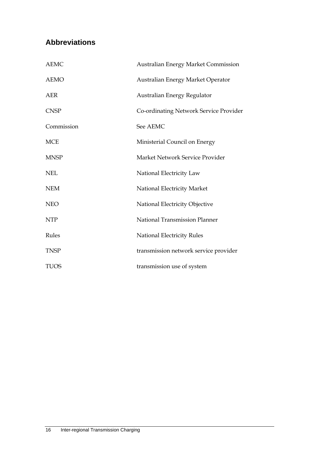## **Abbreviations**

| <b>AEMC</b>          | <b>Australian Energy Market Commission</b> |
|----------------------|--------------------------------------------|
| <b>AEMO</b>          | Australian Energy Market Operator          |
| <b>AER</b>           | Australian Energy Regulator                |
| <b>CNSP</b>          | Co-ordinating Network Service Provider     |
| Commission           | See AEMC                                   |
| <b>MCE</b>           | Ministerial Council on Energy              |
| <b>MNSP</b>          | Market Network Service Provider            |
| $\operatorname{NEL}$ | National Electricity Law                   |
| <b>NEM</b>           | National Electricity Market                |
| <b>NEO</b>           | National Electricity Objective             |
| <b>NTP</b>           | National Transmission Planner              |
| Rules                | <b>National Electricity Rules</b>          |
| <b>TNSP</b>          | transmission network service provider      |
| <b>TUOS</b>          | transmission use of system                 |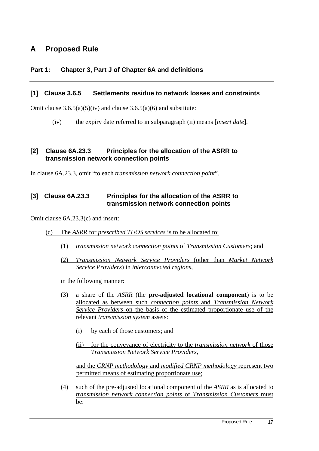## **A Proposed Rule**

#### **Part 1: Chapter 3, Part J of Chapter 6A and definitions**

#### **[1] Clause 3.6.5 Settlements residue to network losses and constraints**

Omit clause  $3.6.5(a)(5)(iv)$  and clause  $3.6.5(a)(6)$  and substitute:

(iv) the expiry date referred to in subparagraph (ii) means [*insert date*].

#### **[2] Clause 6A.23.3 Principles for the allocation of the ASRR to transmission network connection points**

In clause 6A.23.3, omit "to each *transmission network connection point*".

#### **[3] Clause 6A.23.3 Principles for the allocation of the ASRR to transmission network connection points**

Omit clause 6A.23.3(c) and insert:

- (c) The *ASRR* for *prescribed TUOS services* is to be allocated to:
	- (1) *transmission network connection points* of *Transmission Customers*; and
	- (2) *Transmission Network Service Providers* (other than *Market Network Service Providers*) in *interconnected regions*,

in the following manner:

- (3) a share of the *ASRR* (the **pre-adjusted locational component**) is to be allocated as between such *connection points* and *Transmission Network Service Providers* on the basis of the estimated proportionate use of the relevant *transmission system* assets:
	- (i) by each of those customers; and
	- (ii) for the conveyance of electricity to the *transmission network* of those *Transmission Network Service Providers,*

and the *CRNP methodology* and *modified CRNP methodology* represent two permitted means of estimating proportionate use;

(4) such of the pre-adjusted locational component of the *ASRR* as is allocated to *transmission network connection points* of *Transmission Customers* must be: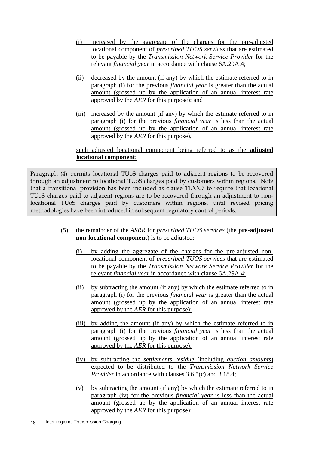- (i) increased by the aggregate of the charges for the pre-adjusted locational component of *prescribed TUOS services* that are estimated to be payable by the *Transmission Network Service Provider* for the relevant *financial year* in accordance with clause 6A.29A.4;
- (ii) decreased by the amount (if any) by which the estimate referred to in paragraph (i) for the previous *financial year* is greater than the actual amount (grossed up by the application of an annual interest rate approved by the *AER* for this purpose); and
- (iii) increased by the amount (if any) by which the estimate referred to in paragraph (i) for the previous *financial year* is less than the actual amount (grossed up by the application of an annual interest rate approved by the *AER* for this purpose),

#### such adjusted locational component being referred to as the **adjusted locational component**;

Paragraph (4) permits locational TUoS charges paid to adjacent regions to be recovered through an adjustment to locational TUoS charges paid by customers within regions. Note that a transitional provision has been included as clause 11.XX.7 to require that locational TUoS charges paid to adjacent regions are to be recovered through an adjustment to nonlocational TUoS charges paid by customers within regions, until revised pricing methodologies have been introduced in subsequent regulatory control periods.

- (5) the remainder of the *ASRR* for *prescribed TUOS services* (the **pre-adjusted non-locational component**) is to be adjusted:
	- (i) by adding the aggregate of the charges for the pre-adjusted nonlocational component of *prescribed TUOS services* that are estimated to be payable by the *Transmission Network Service Provider* for the relevant *financial year* in accordance with clause 6A.29A.4;
	- (ii) by subtracting the amount (if any) by which the estimate referred to in paragraph (i) for the previous *financial year* is greater than the actual amount (grossed up by the application of an annual interest rate approved by the *AER* for this purpose);
	- (iii) by adding the amount (if any) by which the estimate referred to in paragraph (i) for the previous *financial year* is less than the actual amount (grossed up by the application of an annual interest rate approved by the *AER* for this purpose);
	- (iv) by subtracting the *settlements residue* (including *auction amounts*) expected to be distributed to the *Transmission Network Service Provider* in accordance with clauses 3.6.5(c) and 3.18.4;
	- (v) by subtracting the amount (if any) by which the estimate referred to in paragraph (iv) for the previous *financial year* is less than the actual amount (grossed up by the application of an annual interest rate approved by the *AER* for this purpose);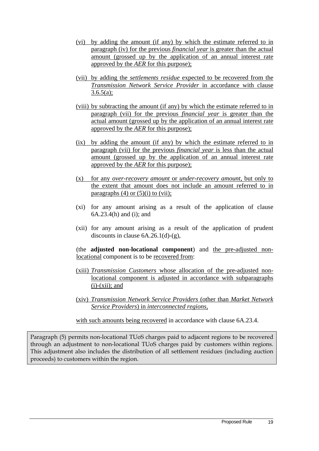- (vi) by adding the amount (if any) by which the estimate referred to in paragraph (iv) for the previous *financial year* is greater than the actual amount (grossed up by the application of an annual interest rate approved by the *AER* for this purpose);
- (vii) by adding the *settlements residue* expected to be recovered from the *Transmission Network Service Provider* in accordance with clause  $3.6.5(a)$ :
- (viii) by subtracting the amount (if any) by which the estimate referred to in paragraph (vii) for the previous *financial year* is greater than the actual amount (grossed up by the application of an annual interest rate approved by the *AER* for this purpose);
- (ix) by adding the amount (if any) by which the estimate referred to in paragraph (vii) for the previous *financial year* is less than the actual amount (grossed up by the application of an annual interest rate approved by the *AER* for this purpose);
- (x) for any *over-recovery amount* or *under-recovery amount*, but only to the extent that amount does not include an amount referred to in paragraphs  $(4)$  or  $(5)(i)$  to  $(vii)$ ;
- (xi) for any amount arising as a result of the application of clause 6A.23.4(h) and (i); and
- (xii) for any amount arising as a result of the application of prudent discounts in clause  $6A.26.1(d)-(g)$ ,

(the **adjusted non-locational component**) and the pre-adjusted nonlocational component is to be recovered from:

- (xiii) *Transmission Customers* whose allocation of the pre-adjusted nonlocational component is adjusted in accordance with subparagraphs  $(i)$ - $(xii)$ ; and
- (xiv) *Transmission Network Service Providers* (other than *Market Network Service Providers*) in *interconnected regions,*
- with such amounts being recovered in accordance with clause 6A.23.4.

Paragraph (5) permits non-locational TUoS charges paid to adjacent regions to be recovered through an adjustment to non-locational TUoS charges paid by customers within regions. This adjustment also includes the distribution of all settlement residues (including auction proceeds) to customers within the region.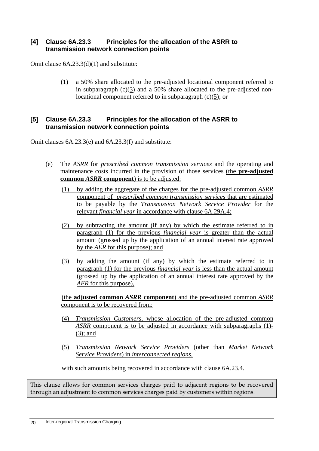#### **[4] Clause 6A.23.3 Principles for the allocation of the ASRR to transmission network connection points**

Omit clause 6A.23.3(d)(1) and substitute:

(1) a 50% share allocated to the pre-adjusted locational component referred to in subparagraph  $(c)(3)$  and a 50% share allocated to the pre-adjusted nonlocational component referred to in subparagraph (c)(5); or

#### **[5] Clause 6A.23.3 Principles for the allocation of the ASRR to transmission network connection points**

Omit clauses 6A.23.3(e) and 6A.23.3(f) and substitute:

- (e) The *ASRR* for *prescribed common transmission services* and the operating and maintenance costs incurred in the provision of those services (the **pre-adjusted common** *ASRR* **component**) is to be adjusted:
	- (1) by adding the aggregate of the charges for the pre-adjusted common *ASRR* component of *prescribed common transmission services* that are estimated to be payable by the *Transmission Network Service Provider* for the relevant *financial year* in accordance with clause 6A.29A.4;
	- (2) by subtracting the amount (if any) by which the estimate referred to in paragraph (1) for the previous *financial year* is greater than the actual amount (grossed up by the application of an annual interest rate approved by the *AER* for this purpose); and
	- (3) by adding the amount (if any) by which the estimate referred to in paragraph (1) for the previous *financial year* is less than the actual amount (grossed up by the application of an annual interest rate approved by the *AER* for this purpose),

(the **adjusted common** *ASRR* **component**) and the pre-adjusted common *ASRR* component is to be recovered from:

- (4) *Transmission Customers*, whose allocation of the pre-adjusted common *ASRR* component is to be adjusted in accordance with subparagraphs (1)- (3); and
- (5) *Transmission Network Service Providers* (other than *Market Network Service Providers*) in *interconnected regions*,

with such amounts being recovered in accordance with clause 6A.23.4.

This clause allows for common services charges paid to adjacent regions to be recovered through an adjustment to common services charges paid by customers within regions.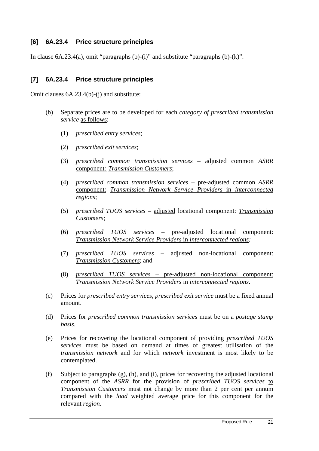### **[6] 6A.23.4 Price structure principles**

In clause  $6A.23.4(a)$ , omit "paragraphs  $(b)-(i)$ " and substitute "paragraphs  $(b)-(k)$ ".

#### **[7] 6A.23.4 Price structure principles**

Omit clauses 6A.23.4(b)-(j) and substitute:

- (b) Separate prices are to be developed for each *category of prescribed transmission service* as follows:
	- (1) *prescribed entry services*;
	- (2) *prescribed exit services*;
	- (3) *prescribed common transmission services* adjusted common *ASRR* component*: Transmission Customers*;
	- (4) *prescribed common transmission services* pre-adjusted common *ASRR* component: *Transmission Network Service Providers* in *interconnected regions*;
	- (5) *prescribed TUOS services* adjusted locational component: *Transmission Customers*;
	- (6) *prescribed TUOS services* pre-adjusted locational component: *Transmission Network Service Providers* in *interconnected regions;*
	- (7) *prescribed TUOS services* adjusted non-locational component: *Transmission Customers*; and
	- (8) *prescribed TUOS services* pre-adjusted non-locational component: *Transmission Network Service Providers* in *interconnected regions*.
- (c) Prices for *prescribed entry services*, *prescribed exit service* must be a fixed annual amount.
- (d) Prices for *prescribed common transmission services* must be on a *postage stamp basis*.
- (e) Prices for recovering the locational component of providing *prescribed TUOS services* must be based on demand at times of greatest utilisation of the *transmission network* and for which *network* investment is most likely to be contemplated.
- (f) Subject to paragraphs  $(g)$ , (h), and (i), prices for recovering the adjusted locational component of the *ASRR* for the provision of *prescribed TUOS services* to *Transmission Customers* must not change by more than 2 per cent per annum compared with the *load* weighted average price for this component for the relevant *region*.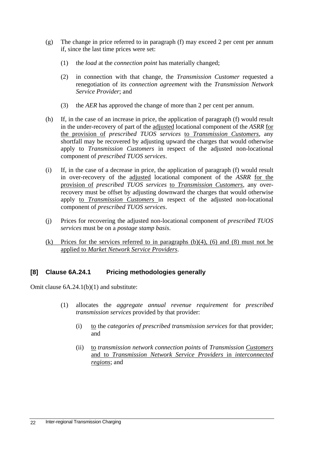- (g) The change in price referred to in paragraph (f) may exceed 2 per cent per annum if, since the last time prices were set:
	- (1) the *load* at the *connection point* has materially changed;
	- (2) in connection with that change, the *Transmission Customer* requested a renegotiation of its *connection agreement* with the *Transmission Network Service Provider*; and
	- (3) the *AER* has approved the change of more than 2 per cent per annum.
- (h) If, in the case of an increase in price, the application of paragraph (f) would result in the under-recovery of part of the adjusted locational component of the *ASRR* for the provision of *prescribed TUOS services* to *Transmission Customers,* any shortfall may be recovered by adjusting upward the charges that would otherwise apply to *Transmission Customers* in respect of the adjusted non-locational component of *prescribed TUOS services*.
- (i) If, in the case of a decrease in price, the application of paragraph (f) would result in over-recovery of the adjusted locational component of the *ASRR* for the provision of *prescribed TUOS services* to *Transmission Customers,* any overrecovery must be offset by adjusting downward the charges that would otherwise apply to *Transmission Customers* in respect of the adjusted non-locational component of *prescribed TUOS services*.
- (j) Prices for recovering the adjusted non-locational component of *prescribed TUOS services* must be on a *postage stamp basis*.
- (k) Prices for the services referred to in paragraphs (b)(4), (6) and (8) must not be applied to *Market Network Service Providers*.

### **[8] Clause 6A.24.1 Pricing methodologies generally**

Omit clause 6A.24.1(b)(1) and substitute:

- (1) allocates the *aggregate annual revenue requirement* for *prescribed transmission services* provided by that provider:
	- (i) to the *categories of prescribed transmission services* for that provider; and
	- (ii) to *transmission network connection points* of *Transmission Customers*  and to *Transmission Network Service Providers* in *interconnected regions*; and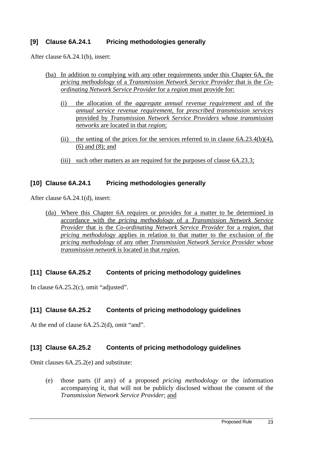#### **[9] Clause 6A.24.1 Pricing methodologies generally**

After clause 6A.24.1(b), insert:

- (ba) In addition to complying with any other requirements under this Chapter 6A, the *pricing methodology* of a *Transmission Network Service Provider* that is the *Coordinating Network Service Provider* for a *region* must provide for:
	- (i) the allocation of the *aggregate annual revenue requirement* and of the *annual service revenue requirement*, for *prescribed transmission services* provided by *Transmission Network Service Providers* whose *transmission networks* are located in that *region*;
	- (ii) the setting of the prices for the services referred to in clause  $6A.23.4(b)(4)$ , (6) and (8); and
	- (iii) such other matters as are required for the purposes of clause 6A.23.3;

#### **[10] Clause 6A.24.1 Pricing methodologies generally**

After clause 6A.24.1(d), insert:

(da) Where this Chapter 6A requires or provides for a matter to be determined in accordance with the *pricing methodology* of a *Transmission Network Service Provider* that is the *Co-ordinating Network Service Provider* for a *region*, that *pricing methodology* applies in relation to that matter to the exclusion of the *pricing methodology* of any other *Transmission Network Service Provider* whose *transmission network* is located in that *region.*

#### **[11] Clause 6A.25.2 Contents of pricing methodology guidelines**

In clause 6A.25.2(c), omit "adjusted".

#### **[11] Clause 6A.25.2 Contents of pricing methodology guidelines**

At the end of clause 6A.25.2(d), omit "and".

#### **[13] Clause 6A.25.2 Contents of pricing methodology guidelines**

Omit clauses 6A.25.2(e) and substitute:

(e) those parts (if any) of a proposed *pricing methodology* or the information accompanying it, that will not be publicly disclosed without the consent of the *Transmission Network Service Provider*; and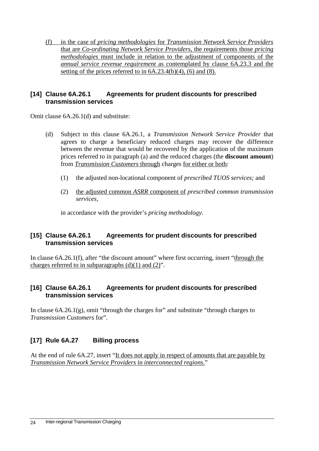(f) in the case of *pricing methodologies* for *Transmission Network Service Providers*  that are *Co-ordinating Network Service Providers*, the requirements those *pricing methodologies* must include in relation to the adjustment of components of the *annual service revenue requirement* as contemplated by clause 6A.23.3 and the setting of the prices referred to in  $6A.23.4(b)(4)$ ,  $(6)$  and  $(8)$ .

#### **[14] Clause 6A.26.1 Agreements for prudent discounts for prescribed transmission services**

Omit clause 6A.26.1(d) and substitute:

- (d) Subject to this clause 6A.26.1, a *Transmission Network Service Provider* that agrees to charge a beneficiary reduced charges may recover the difference between the revenue that would be recovered by the application of the maximum prices referred to in paragraph (a) and the reduced charges (the **discount amount**) from *Transmission Customers* through charges for either or both:
	- (1) the adjusted non-locational component of *prescribed TUOS services;* and
	- (2) the adjusted common *ASRR* component of *prescribed common transmission services,*

in accordance with the provider's *pricing methodology*.

#### **[15] Clause 6A.26.1 Agreements for prudent discounts for prescribed transmission services**

In clause 6A.26.1(f), after "the discount amount" where first occurring, insert "through the charges referred to in subparagraphs  $(d)(1)$  and  $(2)$ ".

#### **[16] Clause 6A.26.1 Agreements for prudent discounts for prescribed transmission services**

In clause  $6A.26.1(g)$ , omit "through the charges for" and substitute "through charges to *Transmission Customers* for".

### **[17] Rule 6A.27 Billing process**

At the end of rule 6A.27, insert "It does not apply in respect of amounts that are payable by *Transmission Network Service Providers* in *interconnected regions*."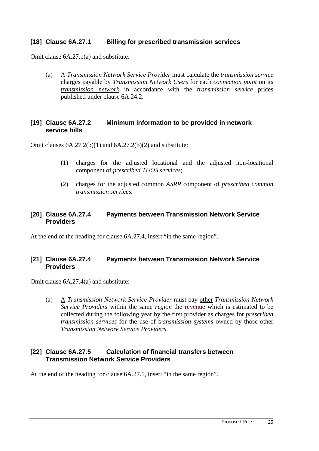#### **[18] Clause 6A.27.1 Billing for prescribed transmission services**

Omit clause 6A.27.1(a) and substitute:

(a) A *Transmission Network Service Provider* must calculate the *transmission service* charges payable by *Transmission Network Users* for each *connection point* on its *transmission network* in accordance with the *transmission service* prices published under clause 6A.24.2.

#### **[19] Clause 6A.27.2 Minimum information to be provided in network service bills**

Omit clauses  $6A.27.2(b)(1)$  and  $6A.27.2(b)(2)$  and substitute:

- (1) charges for the adjusted locational and the adjusted non-locational component of *prescribed TUOS services*;
- (2) charges for the adjusted common *ASRR* component of *prescribed common transmission services.*

#### **[20] Clause 6A.27.4 Payments between Transmission Network Service Providers**

At the end of the heading for clause 6A.27.4, insert "in the same region".

### **[21] Clause 6A.27.4 Payments between Transmission Network Service Providers**

Omit clause 6A.27.4(a) and substitute:

(a) A *Transmission Network Service Provider* must pay other *Transmission Network Service Providers* within the same *region* the revenue which is estimated to be collected during the following year by the first provider as charges for *prescribed transmission services* for the use of *transmission systems* owned by those other *Transmission Network Service Providers*.

#### **[22] Clause 6A.27.5 Calculation of financial transfers between Transmission Network Service Providers**

At the end of the heading for clause 6A.27.5, insert "in the same region".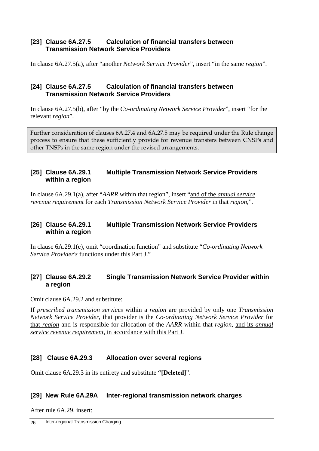#### **[23] Clause 6A.27.5 Calculation of financial transfers between Transmission Network Service Providers**

In clause 6A.27.5(a), after "another *Network Service Provider*", insert "in the same *region*".

#### **[24] Clause 6A.27.5 Calculation of financial transfers between Transmission Network Service Providers**

In clause 6A.27.5(b), after "by the *Co-ordinating Network Service Provider*", insert "for the relevant *region*".

Further consideration of clauses 6A.27.4 and 6A.27.5 may be required under the Rule change process to ensure that these sufficiently provide for revenue transfers between CNSPs and other TNSPs in the same region under the revised arrangements.

#### **[25] Clause 6A.29.1 Multiple Transmission Network Service Providers within a region**

In clause 6A.29.1(a), after "*AARR* within that region", insert "and of the *annual service revenue requirement* for each *Transmission Network Service Provider* in that *region*,".

#### **[26] Clause 6A.29.1 Multiple Transmission Network Service Providers within a region**

In clause 6A.29.1(e), omit "coordination function" and substitute "*Co-ordinating Network Service Provider's* functions under this Part J."

### **[27] Clause 6A.29.2 Single Transmission Network Service Provider within a region**

Omit clause 6A.29.2 and substitute:

If *prescribed transmission services* within a *region* are provided by only one *Transmission Network Service Provider,* that provider is the *Co-ordinating Network Service Provider* for that *region* and is responsible for allocation of the *AARR* within that *region*, and its *annual service revenue requirement*, in accordance with this Part J.

#### **[28] Clause 6A.29.3 Allocation over several regions**

Omit clause 6A.29.3 in its entirety and substitute **"[Deleted]**".

#### **[29] New Rule 6A.29A Inter-regional transmission network charges**

After rule 6A.29, insert: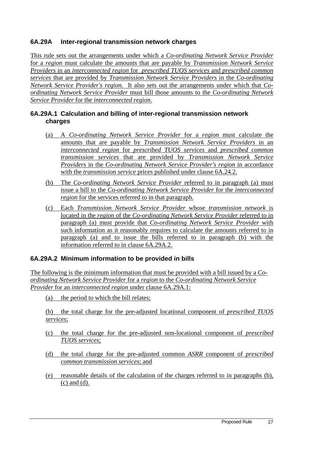### **6A.29A Inter-regional transmission network charges**

This rule sets out the arrangements under which a *Co-ordinating Network Service Provider* for a *region* must calculate the amounts that are payable by *Transmission Network Service Providers* in an *interconnected region* for *prescribed TUOS services* and *prescribed common services* that are provided by *Transmission Network Service Providers* in the *Co-ordinating Network Service Provider's region*. It also sets out the arrangements under which that *Coordinating Network Service Provider* must bill those amounts to the *Co-ordinating Network Service Provider* for the *interconnected region*.

#### **6A.29A.1 Calculation and billing of inter-regional transmission network charges**

- (a) A *Co-ordinating Network Service Provider* for a *region* must calculate the amounts that are payable by *Transmission Network Service Providers* in an *interconnected region* for *prescribed TUOS services* and *prescribed common transmission services* that are provided by *Transmission Network Service Providers* in the *Co-ordinating Network Service Provider's region* in accordance with the *transmission service* prices published under clause 6A.24.2.
- (b) The *Co-ordinating Network Service Provider* referred to in paragraph (a) must issue a bill to the *Co-ordinating Network Service Provider* for the *interconnected region* for the services referred to in that paragraph.
- (c) Each *Transmission Network Service Provider* whose *transmission network* is located in the *region* of the *Co-ordinating Network Service Provider* referred to in paragraph (a) must provide that *Co-ordinating Network Service Provider* with such information as it reasonably requires to calculate the amounts referred to in paragraph (a) and to issue the bills referred to in paragraph (b) with the information referred to in clause 6A.29A.2.

#### **6A.29A.2 Minimum information to be provided in bills**

The following is the minimum information that must be provided with a bill issued by a *Coordinating Network Service Provider* for a *region* to the *Co-ordinating Network Service Provider* for an *interconnected region* under clause 6A.29A.1:

(a) the period to which the bill relates;

(b) the total charge for the pre-adjusted locational component of *prescribed TUOS services*;

- (c) the total charge for the pre-adjusted non-locational component of *prescribed TUOS services*;
- (d) the total charge for the pre-adjusted common *ASRR* component of *prescribed common transmission services*; and
- (e) reasonable details of the calculation of the charges referred to in paragraphs (b), (c) and (d).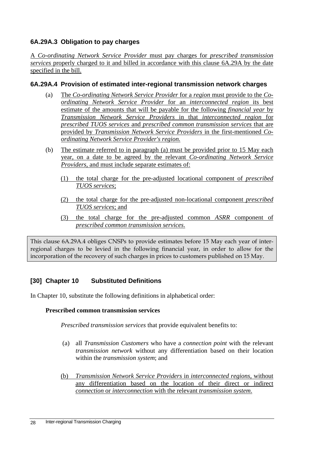### **6A.29A.3 Obligation to pay charges**

A *Co-ordinating Network Service Provider* must pay charges for *prescribed transmission services* properly charged to it and billed in accordance with this clause 6A.29A by the date specified in the bill.

#### **6A.29A.4 Provision of estimated inter-regional transmission network charges**

- (a) The *Co-ordinating Network Service Provider* for a *region* must provide to the *Coordinating Network Service Provider* for an *interconnected region* its best estimate of the amounts that will be payable for the following *financial year* by *Transmission Network Service Providers* in that *interconnected region* for *prescribed TUOS services* and *prescribed common transmission services* that are provided by *Transmission Network Service Providers* in the first-mentioned *Coordinating Network Service Provider's region.*
- (b) The estimate referred to in paragraph (a) must be provided prior to 15 May each year, on a date to be agreed by the relevant *Co-ordinating Network Service Providers*, and must include separate estimates of:
	- (1) the total charge for the pre-adjusted locational component of *prescribed TUOS services*;
	- (2) the total charge for the pre-adjusted non-locational component *prescribed TUOS services*; and
	- (3) the total charge for the pre-adjusted common *ASRR* component of *prescribed common transmission services*.

This clause 6A.29A.4 obliges CNSPs to provide estimates before 15 May each year of interregional charges to be levied in the following financial year, in order to allow for the incorporation of the recovery of such charges in prices to customers published on 15 May.

#### **[30] Chapter 10 Substituted Definitions**

In Chapter 10, substitute the following definitions in alphabetical order:

#### **Prescribed common transmission services**

*Prescribed transmission services* that provide equivalent benefits to:

- (a) all *Transmission Customers* who have a *connection point* with the relevant *transmission network* without any differentiation based on their location within the *transmission system*; and
- (b) *Transmission Network Service Providers* in *interconnected regions,* without any differentiation based on the location of their direct or indirect *connection* or *interconnection* with the relevant *transmission system*.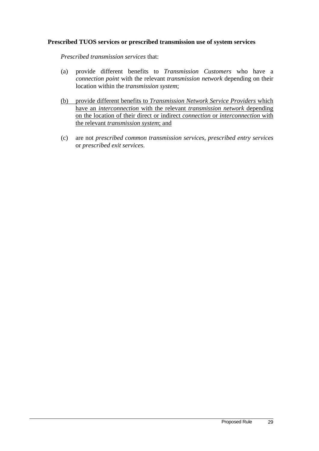#### **Prescribed TUOS services or prescribed transmission use of system services**

*Prescribed transmission services* that:

- (a) provide different benefits to *Transmission Customers* who have a *connection point* with the relevant *transmission network* depending on their location within the *transmission system*;
- (b) provide different benefits to *Transmission Network Service Providers* which have an *interconnection* with the relevant *transmission network* depending on the location of their direct or indirect *connection* or *interconnection* with the relevant *transmission system*; and
- (c) are not *prescribed common transmission services*, *prescribed entry services* or *prescribed exit services*.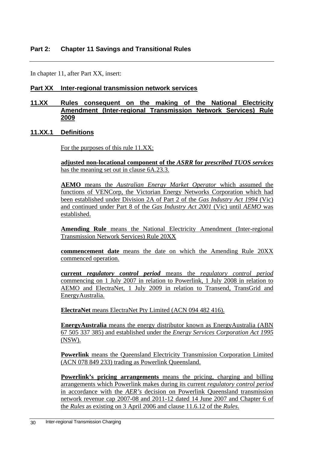In chapter 11, after Part XX, insert:

#### **Part XX Inter-regional transmission network services**

#### **11.XX Rules consequent on the making of the National Electricity Amendment (Inter-regional Transmission Network Services) Rule 2009**

#### **11.XX.1 Definitions**

For the purposes of this rule 11.XX:

**adjusted non-locational component of the** *ASRR* **for** *prescribed TUOS services* has the meaning set out in clause 6A.23.3.

**AEMO** means the *Australian Energy Market Operator* which assumed the functions of VENCorp, the Victorian Energy Networks Corporation which had been established under Division 2A of Part 2 of the *Gas Industry Act 1994* (Vic) and continued under Part 8 of the *Gas Industry Act 2001* (Vic) until *AEMO* was established.

**Amending Rule** means the National Electricity Amendment (Inter-regional Transmission Network Services) Rule 20XX

**commencement date** means the date on which the Amending Rule 20XX commenced operation.

**current** *regulatory control period* means the *regulatory control period* commencing on 1 July 2007 in relation to Powerlink, 1 July 2008 in relation to AEMO and ElectraNet, 1 July 2009 in relation to Transend, TransGrid and EnergyAustralia.

**ElectraNet** means ElectraNet Pty Limited (ACN 094 482 416).

**EnergyAustralia** means the energy distributor known as EnergyAustralia (ABN 67 505 337 385) and established under the *Energy Services Corporation Act 1995* (NSW).

**Powerlink** means the Queensland Electricity Transmission Corporation Limited (ACN 078 849 233) trading as Powerlink Queensland.

**Powerlink's pricing arrangements** means the pricing, charging and billing arrangements which Powerlink makes during its current *regulatory control period* in accordance with the *AER's* decision on Powerlink Queensland transmission network revenue cap 2007-08 and 2011-12 dated 14 June 2007 and Chapter 6 of the *Rules* as existing on 3 April 2006 and clause 11.6.12 of the *Rules*.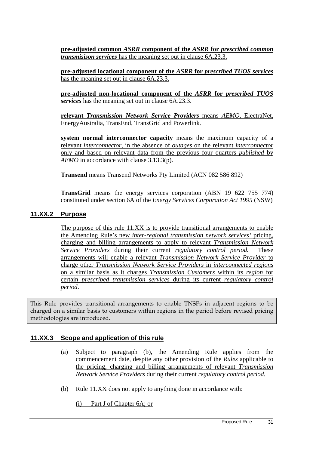**pre-adjusted common** *ASRR* **component of the** *ASRR* **for** *prescribed common transmisison services* has the meaning set out in clause 6A.23.3.

**pre-adjusted locational component of the** *ASRR* **for** *prescribed TUOS services* has the meaning set out in clause 6A.23.3.

**pre-adjusted non-locational component of the** *ASRR* **for** *prescribed TUOS services* has the meaning set out in clause 6A.23.3.

**relevant** *Transmission Network Service Providers* means *AEMO*, ElectraNet, EnergyAustralia, TransEnd, TransGrid and Powerlink.

**system normal interconnector capacity** means the maximum capacity of a relevant *interconnector*, in the absence of *outages* on the relevant *interconnector*  only and based on relevant data from the previous four quarters *published* by *AEMO* in accordance with clause 3.13.3(p).

**Transend** means Transend Networks Pty Limited (ACN 082 586 892)

**TransGrid** means the energy services corporation (ABN 19 622 755 774) constituted under section 6A of the *Energy Services Corporation Act 1995* (NSW)

#### **11.XX.2 Purpose**

The purpose of this rule 11.XX is to provide transitional arrangements to enable the Amending Rule's new *inter-regional transmission network services'* pricing, charging and billing arrangements to apply to relevant *Transmission Network Service Providers* during their current *regulatory control period.* These arrangements will enable a relevant *Transmission Network Service Provider* to charge other *Transmission Network Service Providers* in *interconnected regions* on a similar basis as it charges *Transmission Customers* within its *region* for certain *prescribed transmission services* during its current *regulatory control period*.

This Rule provides transitional arrangements to enable TNSPs in adjacent regions to be charged on a similar basis to customers within regions in the period before revised pricing methodologies are introduced.

#### **11.XX.3 Scope and application of this rule**

- (a) Subject to paragraph (b), the Amending Rule applies from the commencement date, despite any other provision of the *Rules* applicable to the pricing, charging and billing arrangements of relevant *Transmission Network Service Providers* during their current *regulatory control period.*
- (b) Rule 11.XX does not apply to anything done in accordance with:
	- (i) Part J of Chapter 6A; or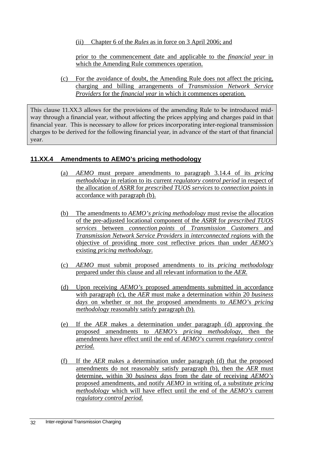(ii) Chapter 6 of the *Rules* as in force on 3 April 2006; and

prior to the commencement date and applicable to the *financial year* in which the Amending Rule commences operation.

(c) For the avoidance of doubt, the Amending Rule does not affect the pricing, charging and billing arrangements of *Transmission Network Service Providers* for the *financial year* in which it commences operation.

This clause 11.XX.3 allows for the provisions of the amending Rule to be introduced midway through a financial year, without affecting the prices applying and charges paid in that financial year. This is necessary to allow for prices incorporating inter-regional transmission charges to be derived for the following financial year, in advance of the start of that financial year.

### **11.XX.4 Amendments to AEMO's pricing methodology**

- (a) *AEMO* must prepare amendments to paragraph 3.14.4 of its *pricing methodology* in relation to its current *regulatory control period* in respect of the allocation of *ASRR* for *prescribed TUOS services* to *connection points* in accordance with paragraph (b).
- (b) The amendments to *AEMO's pricing methodology* must revise the allocation of the pre-adjusted locational component of the *ASRR* for *prescribed TUOS services* between *connection points* of *Transmission Customers* and *Transmission Network Service Providers* in *interconnected regions* with the objective of providing more cost reflective prices than under *AEMO's* existing *pricing methodology*.
- (c) *AEMO* must submit proposed amendments to its *pricing methodology* prepared under this clause and all relevant information to the *AER*.
- (d) Upon receiving *AEMO's* proposed amendments submitted in accordance with paragraph (c), the *AER* must make a determination within 20 *business days* on whether or not the proposed amendments to *AEMO'*s *pricing methodology* reasonably satisfy paragraph (b).
- (e) If the *AER* makes a determination under paragraph (d) approving the proposed amendments to *AEMO's pricing methodology*, then the amendments have effect until the end of *AEMO's* current *regulatory control period*.
- (f) If the *AER* makes a determination under paragraph (d) that the proposed amendments do not reasonably satisfy paragraph (b), then the *AER* must determine, within 30 *business days* from the date of receiving *AEMO's* proposed amendments, and notify *AEMO* in writing of, a substitute *pricing methodology* which will have effect until the end of the *AEMO's* current *regulatory control period.*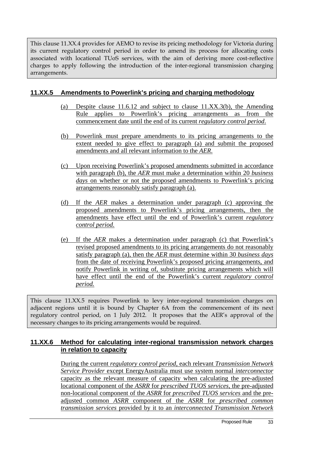This clause 11.XX.4 provides for AEMO to revise its pricing methodology for Victoria during its current regulatory control period in order to amend its process for allocating costs associated with locational TUoS services, with the aim of deriving more cost-reflective charges to apply following the introduction of the inter-regional transmission charging arrangements.

#### **11.XX.5 Amendments to Powerlink's pricing and charging methodology**

- (a) Despite clause 11.6.12 and subject to clause 11.XX.3(b), the Amending Rule applies to Powerlink's pricing arrangements as from the commencement date until the end of its current *regulatory control period*.
- (b) Powerlink must prepare amendments to its pricing arrangements to the extent needed to give effect to paragraph (a) and submit the proposed amendments and all relevant information to the *AER*.
- (c) Upon receiving Powerlink's proposed amendments submitted in accordance with paragraph (b), the *AER* must make a determination within 20 *business days* on whether or not the proposed amendments to Powerlink's pricing arrangements reasonably satisfy paragraph (a).
- (d) If the *AER* makes a determination under paragraph (c) approving the proposed amendments to Powerlink's pricing arrangements, then the amendments have effect until the end of Powerlink's current *regulatory control period*.
- (e) If the *AER* makes a determination under paragraph (c) that Powerlink's revised proposed amendments to its pricing arrangements do not reasonably satisfy paragraph (a), then the *AER* must determine within 30 *business days*  from the date of receiving Powerlink's proposed pricing arrangements, and notify Powerlink in writing of, substitute pricing arrangements which will have effect until the end of the Powerlink's current *regulatory control period.*

This clause 11.XX.5 requires Powerlink to levy inter-regional transmission charges on adjacent regions until it is bound by Chapter 6A from the commencement of its next regulatory control period, on 1 July 2012. It proposes that the AER's approval of the necessary changes to its pricing arrangements would be required.

### **11.XX.6 Method for calculating inter-regional transmission network charges in relation to capacity**

During the current *regulatory control period*, each relevant *Transmission Network Service Provider* except EnergyAustralia must use system normal *interconnector*  capacity as the relevant measure of capacity when calculating the pre-adjusted locational component of the *ASRR* for *prescribed TUOS services,* the pre-adjusted non-locational component of the *ASRR* for *prescribed TUOS services* and the preadjusted common *ASRR* component of the *ASRR* for *prescribed common transmission services* provided by it to an *interconnected Transmission Network*